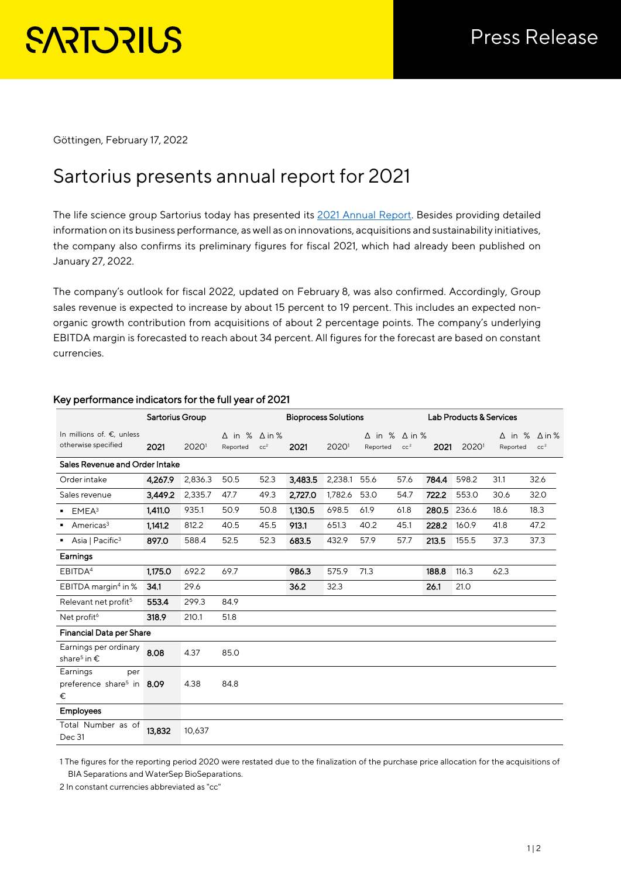Göttingen, February 17, 2022

# Sartorius presents annual report for 2021

The life science group Sartorius today has presented its [2021 Annual Report.](https://www.sartorius.com/resource/static/1138870) Besides providing detailed information on its business performance, as well as on innovations, acquisitions and sustainability initiatives, the company also confirms its preliminary figures for fiscal 2021, which had already been published on January 27, 2022.

The company's outlook for fiscal 2022, updated on February 8, was also confirmed. Accordingly, Group sales revenue is expected to increase by about 15 percent to 19 percent. This includes an expected nonorganic growth contribution from acquisitions of about 2 percentage points. The company's underlying EBITDA margin is forecasted to reach about 34 percent. All figures for the forecast are based on constant currencies.

|                                                               | <b>Sartorius Group</b> |         |                                         | <b>Bioprocess Solutions</b> |         |         |                           |                                  | <b>Lab Products &amp; Services</b> |       |          |                                                |  |
|---------------------------------------------------------------|------------------------|---------|-----------------------------------------|-----------------------------|---------|---------|---------------------------|----------------------------------|------------------------------------|-------|----------|------------------------------------------------|--|
| In millions of. €, unless<br>otherwise specified              | 2021                   | 20201   | $\Delta$ in % $\Delta$ in %<br>Reported | cc <sup>2</sup>             | 2021    | 20201   | $\Delta$ in %<br>Reported | $\Delta$ in %<br>cc <sup>2</sup> | 2021                               | 20201 | Reported | $\Delta$ in % $\Delta$ in %<br>cc <sup>2</sup> |  |
| Sales Revenue and Order Intake                                |                        |         |                                         |                             |         |         |                           |                                  |                                    |       |          |                                                |  |
| Order intake                                                  | 4,267.9                | 2,836.3 | 50.5                                    | 52.3                        | 3,483.5 | 2,238.1 | 55.6                      | 57.6                             | 784.4                              | 598.2 | 31.1     | 32.6                                           |  |
| Sales revenue                                                 | 3,449.2                | 2,335.7 | 47.7                                    | 49.3                        | 2,727.0 | 1,782.6 | 53.0                      | 54.7                             | 722.2                              | 553.0 | 30.6     | 32.0                                           |  |
| EMEA <sup>3</sup>                                             | 1,411.0                | 935.1   | 50.9                                    | 50.8                        | 1,130.5 | 698.5   | 61.9                      | 61.8                             | 280.5                              | 236.6 | 18.6     | 18.3                                           |  |
| Americas <sup>3</sup><br>٠                                    | 1,141.2                | 812.2   | 40.5                                    | 45.5                        | 913.1   | 651.3   | 40.2                      | 45.1                             | 228.2                              | 160.9 | 41.8     | 47.2                                           |  |
| Asia   Pacific <sup>3</sup>                                   | 897.0                  | 588.4   | 52.5                                    | 52.3                        | 683.5   | 432.9   | 57.9                      | 57.7                             | 213.5                              | 155.5 | 37.3     | 37.3                                           |  |
| Earnings                                                      |                        |         |                                         |                             |         |         |                           |                                  |                                    |       |          |                                                |  |
| EBITDA <sup>4</sup>                                           | 1,175.0                | 692.2   | 69.7                                    |                             | 986.3   | 575.9   | 71.3                      |                                  | 188.8                              | 116.3 | 62.3     |                                                |  |
| EBITDA margin <sup>4</sup> in %                               | 34.1                   | 29.6    |                                         |                             | 36.2    | 32.3    |                           |                                  | 26.1                               | 21.0  |          |                                                |  |
| Relevant net profit <sup>5</sup>                              | 553.4                  | 299.3   | 84.9                                    |                             |         |         |                           |                                  |                                    |       |          |                                                |  |
| Net profit <sup>6</sup>                                       | 318.9                  | 210.1   | 51.8                                    |                             |         |         |                           |                                  |                                    |       |          |                                                |  |
| <b>Financial Data per Share</b>                               |                        |         |                                         |                             |         |         |                           |                                  |                                    |       |          |                                                |  |
| Earnings per ordinary<br>share <sup>5</sup> in $\epsilon$     | 8.08                   | 4.37    | 85.0                                    |                             |         |         |                           |                                  |                                    |       |          |                                                |  |
| Earnings<br>per<br>preference share <sup>5</sup> in 8.09<br>€ |                        | 4.38    | 84.8                                    |                             |         |         |                           |                                  |                                    |       |          |                                                |  |
| <b>Employees</b>                                              |                        |         |                                         |                             |         |         |                           |                                  |                                    |       |          |                                                |  |
| Total Number as of<br>Dec 31                                  | 13,832                 | 10,637  |                                         |                             |         |         |                           |                                  |                                    |       |          |                                                |  |

## Key performance indicators for the full year of 2021

1 The figures for the reporting period 2020 were restated due to the finalization of the purchase price allocation for the acquisitions of BIA Separations and WaterSep BioSeparations.

2 In constant currencies abbreviated as "cc"